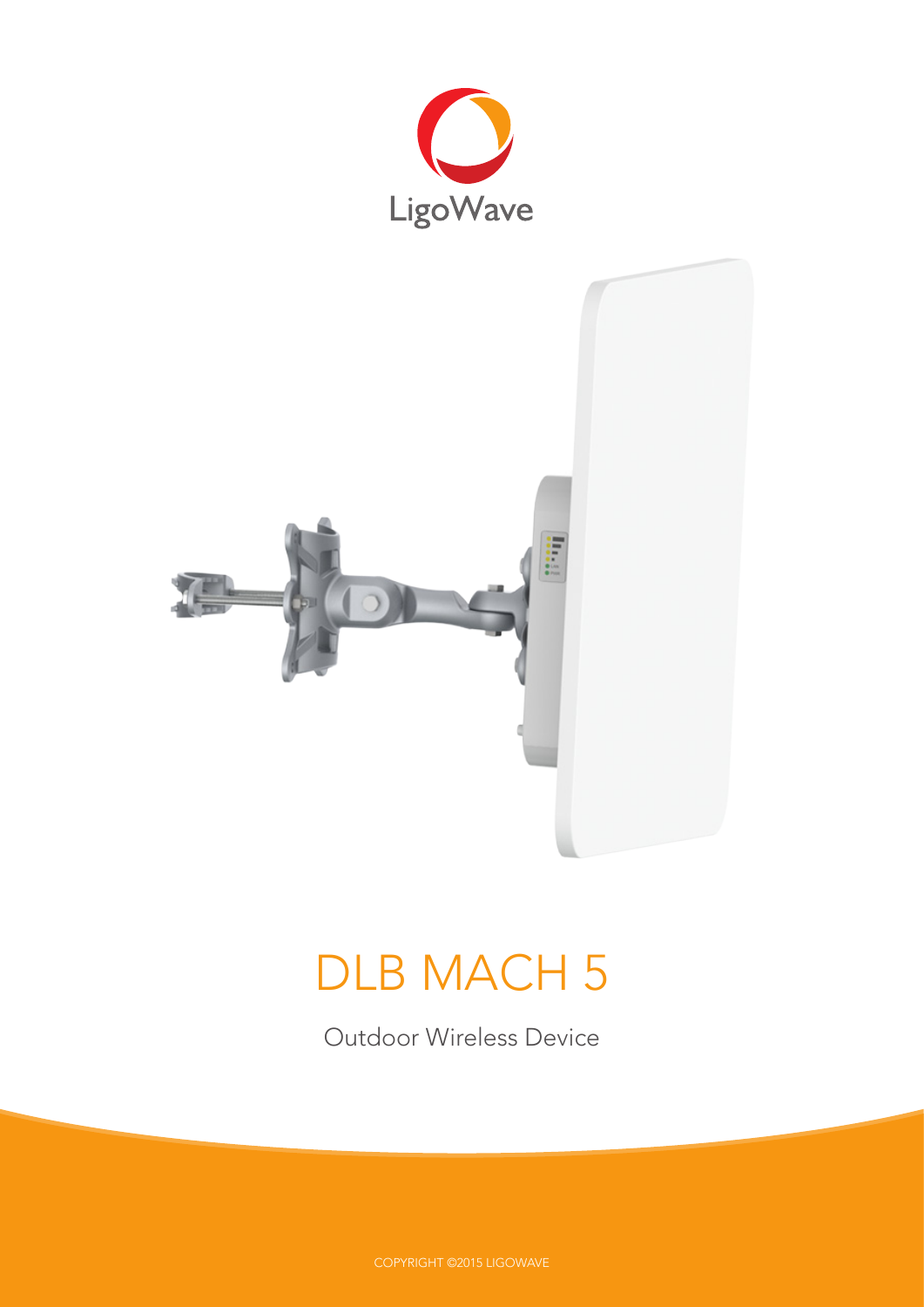



# DLB MACH 5

Outdoor Wireless Device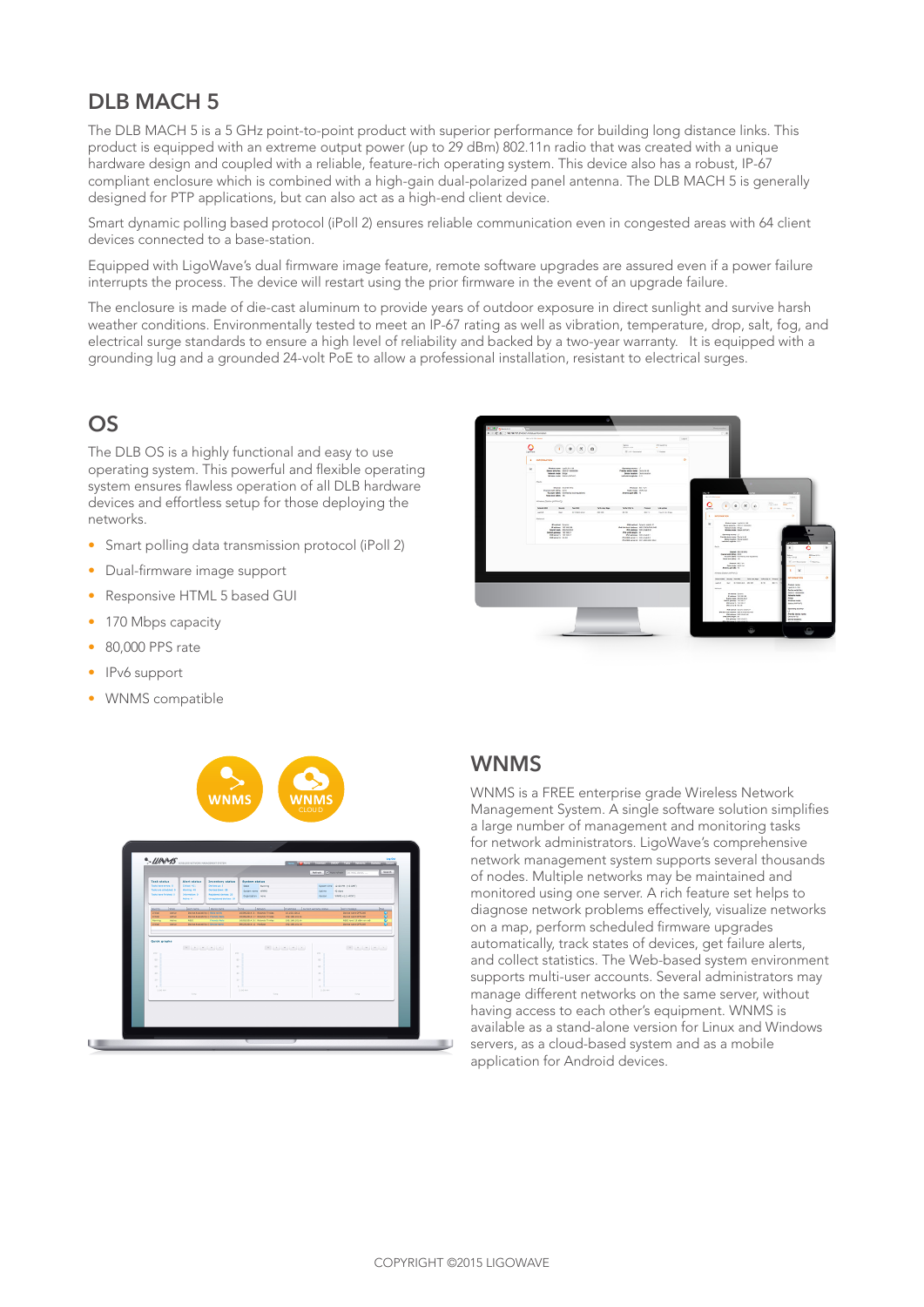## **DLB MACH 5**

The DLB MACH 5 is a 5 GHz point-to-point product with superior performance for building long distance links. This product is equipped with an extreme output power (up to 29 dBm) 802.11n radio that was created with a unique hardware design and coupled with a reliable, feature-rich operating system. This device also has a robust, IP-67 compliant enclosure which is combined with a high-gain dual-polarized panel antenna. The DLB MACH 5 is generally designed for PTP applications, but can also act as a high-end client device.

Smart dynamic polling based protocol (iPoll 2) ensures reliable communication even in congested areas with 64 client devices connected to a base-station.

Equipped with LigoWave's dual firmware image feature, remote software upgrades are assured even if a power failure interrupts the process. The device will restart using the prior firmware in the event of an upgrade failure.

The enclosure is made of die-cast aluminum to provide years of outdoor exposure in direct sunlight and survive harsh weather conditions. Environmentally tested to meet an IP-67 rating as well as vibration, temperature, drop, salt, fog, and electrical surge standards to ensure a high level of reliability and backed by a two-year warranty. It is equipped with a grounding lug and a grounded 24-volt PoE to allow a professional installation, resistant to electrical surges.

## **OS**

The DLB OS is a highly functional and easy to use operating system. This powerful and flexible operating system ensures flawless operation of all DLB hardware devices and effortless setup for those deploying the networks.

- Smart polling data transmission protocol (iPoll 2)
- Dual-firmware image support
- Responsive HTML 5 based GUI
- 170 Mbps capacity
- 80,000 PPS rate
- IPv6 support
- WNMS compatible





## **WNMS**

WNMS is a FREE enterprise grade Wireless Network Management System. A single software solution simplifies a large number of management and monitoring tasks for network administrators. LigoWave's comprehensive network management system supports several thousands of nodes. Multiple networks may be maintained and monitored using one server. A rich feature set helps to diagnose network problems effectively, visualize networks on a map, perform scheduled firmware upgrades automatically, track states of devices, get failure alerts, and collect statistics. The Web-based system environment supports multi-user accounts. Several administrators may manage different networks on the same server, without having access to each other's equipment. WNMS is available as a stand-alone version for Linux and Windows servers, as a cloud-based system and as a mobile application for Android devices.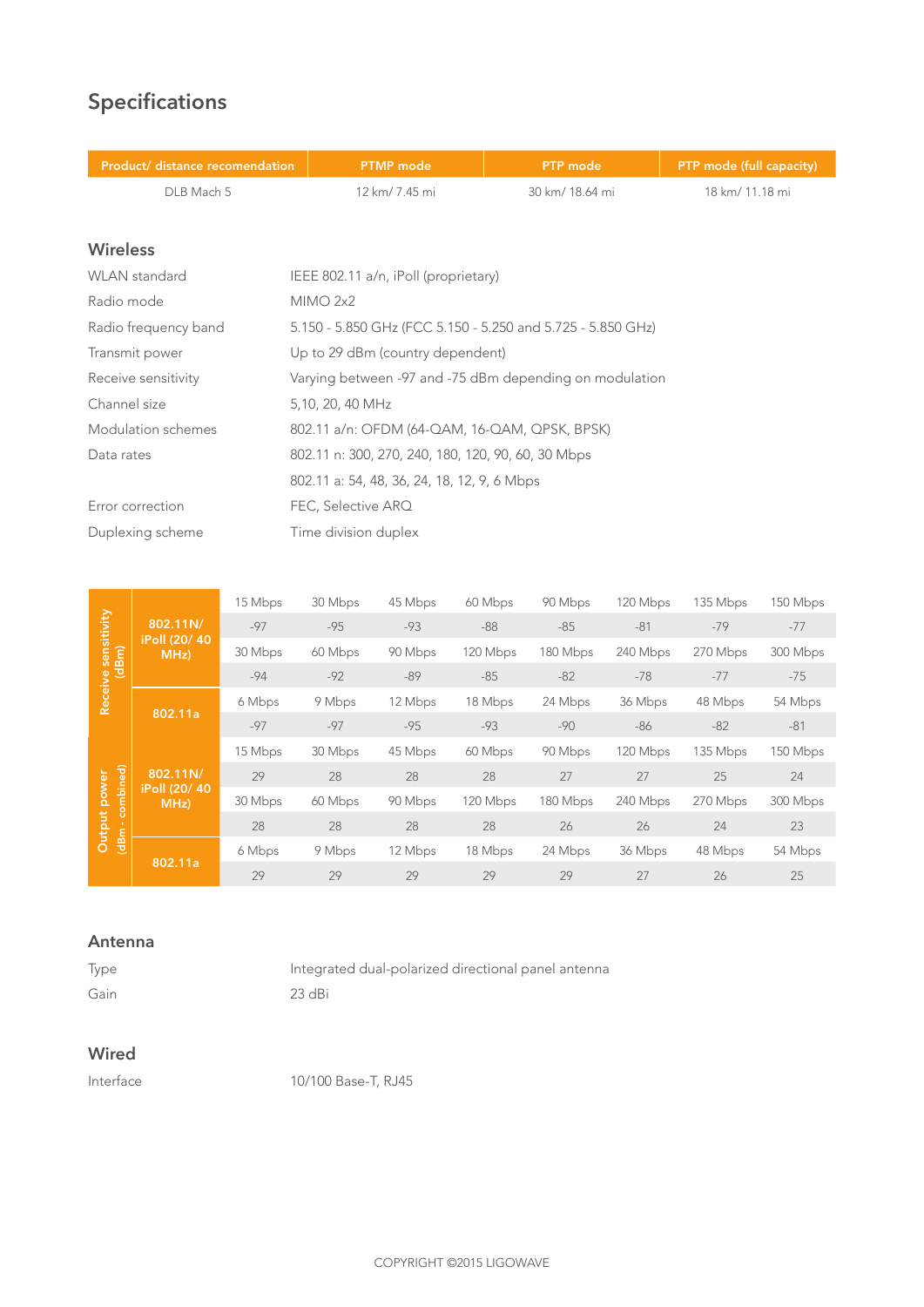## **Specifications**

| Product/ distance recomendation | <b>PTMP</b> mode                                            | <b>PTP</b> mode                | PTP mode (full capacity) |  |
|---------------------------------|-------------------------------------------------------------|--------------------------------|--------------------------|--|
| DLB Mach 5                      | 12 km/ 7.45 mi                                              | 30 km/ 18.64 mi                | 18 km/ 11.18 mi          |  |
|                                 |                                                             |                                |                          |  |
| <b>Wireless</b>                 |                                                             |                                |                          |  |
| <b>WLAN</b> standard            | IEEE 802.11 a/n, iPoll (proprietary)                        |                                |                          |  |
| Radio mode                      | MIMO 2x2                                                    |                                |                          |  |
| Radio frequency band            | 5.150 - 5.850 GHz (FCC 5.150 - 5.250 and 5.725 - 5.850 GHz) |                                |                          |  |
| Transmit power                  | Up to 29 dBm (country dependent)                            |                                |                          |  |
| Receive sensitivity             | Varying between -97 and -75 dBm depending on modulation     |                                |                          |  |
| Channel size                    | 5,10, 20, 40 MHz                                            |                                |                          |  |
| Modulation schemes              | 802.11 a/n: OFDM (64-QAM, 16-QAM, QPSK, BPSK)               |                                |                          |  |
| Data rates                      | 802.11 n: 300, 270, 240, 180, 120, 90, 60, 30 Mbps          |                                |                          |  |
|                                 | 802.11 a: 54, 48, 36, 24, 18, 12, 9, 6 Mbps                 |                                |                          |  |
| Error correction                | FEC, Selective ARQ                                          |                                |                          |  |
| Duplexing scheme                | Time division duplex                                        |                                |                          |  |
|                                 |                                                             |                                |                          |  |
| 15 Mbps                         | 30 Mbps<br>45 Mbps                                          | 90 Mbps<br>120 Mbps<br>60 Mbps | 135 Mbps<br>150 Mbps     |  |

|                                    |                                   | <b>IVINDS</b> | <b>JU IVINIUS</b> | AJ IVINIJS | <b>OU IVINNS</b> | <b>SULIVIOUS</b> | <b>ILU IVINPS</b> | <b>LUU IVINIDS</b> | <b>LUU IVINIUS</b> |
|------------------------------------|-----------------------------------|---------------|-------------------|------------|------------------|------------------|-------------------|--------------------|--------------------|
| ve sensitivity<br>(dBm)<br>Receive | 802.11N/<br>iPoll (20/40)<br>MHz) | $-97$         | $-95$             | $-93$      | $-88$            | $-85$            | $-81$             | $-79$              | $-77$              |
|                                    |                                   | 30 Mbps       | 60 Mbps           | 90 Mbps    | 120 Mbps         | 180 Mbps         | 240 Mbps          | 270 Mbps           | 300 Mbps           |
|                                    |                                   | $-94$         | $-92$             | $-89$      | $-85$            | $-82$            | $-78$             | $-77$              | $-75$              |
|                                    | 802.11a                           | 6 Mbps        | 9 Mbps            | 12 Mbps    | 18 Mbps          | 24 Mbps          | 36 Mbps           | 48 Mbps            | 54 Mbps            |
|                                    |                                   | $-97$         | $-97$             | $-95$      | $-93$            | $-90$            | -86               | $-82$              | $-81$              |
|                                    |                                   | 15 Mbps       | 30 Mbps           | 45 Mbps    | 60 Mbps          | 90 Mbps          | 120 Mbps          | 135 Mbps           | 150 Mbps           |
| ower                               | 802.11N/                          | 29            | 28                | 28         | 28               | 27               | 27                | 25                 | 24                 |
| combined)                          | iPoll (20/40)<br>MHz              | 30 Mbps       | 60 Mbps           | 90 Mbps    | 120 Mbps         | 180 Mbps         | 240 Mbps          | 270 Mbps           | 300 Mbps           |
| Output                             |                                   | 28            | 28                | 28         | 28               | 26               | 26                | 24                 | 23                 |
| (dBm)                              | 802.11a                           | 6 Mbps        | 9 Mbps            | 12 Mbps    | 18 Mbps          | 24 Mbps          | 36 Mbps           | 48 Mbps            | 54 Mbps            |
|                                    |                                   | 29            | 29                | 29         | 29               | 29               | 27                | 26                 | 25                 |

#### **Antenna**

| <i>lype</i> | Integrated dual-polarized directional panel antenna |
|-------------|-----------------------------------------------------|
| Gain        | $23$ dBi                                            |

## **Wired**

Interface 10/100 Base-T, RJ45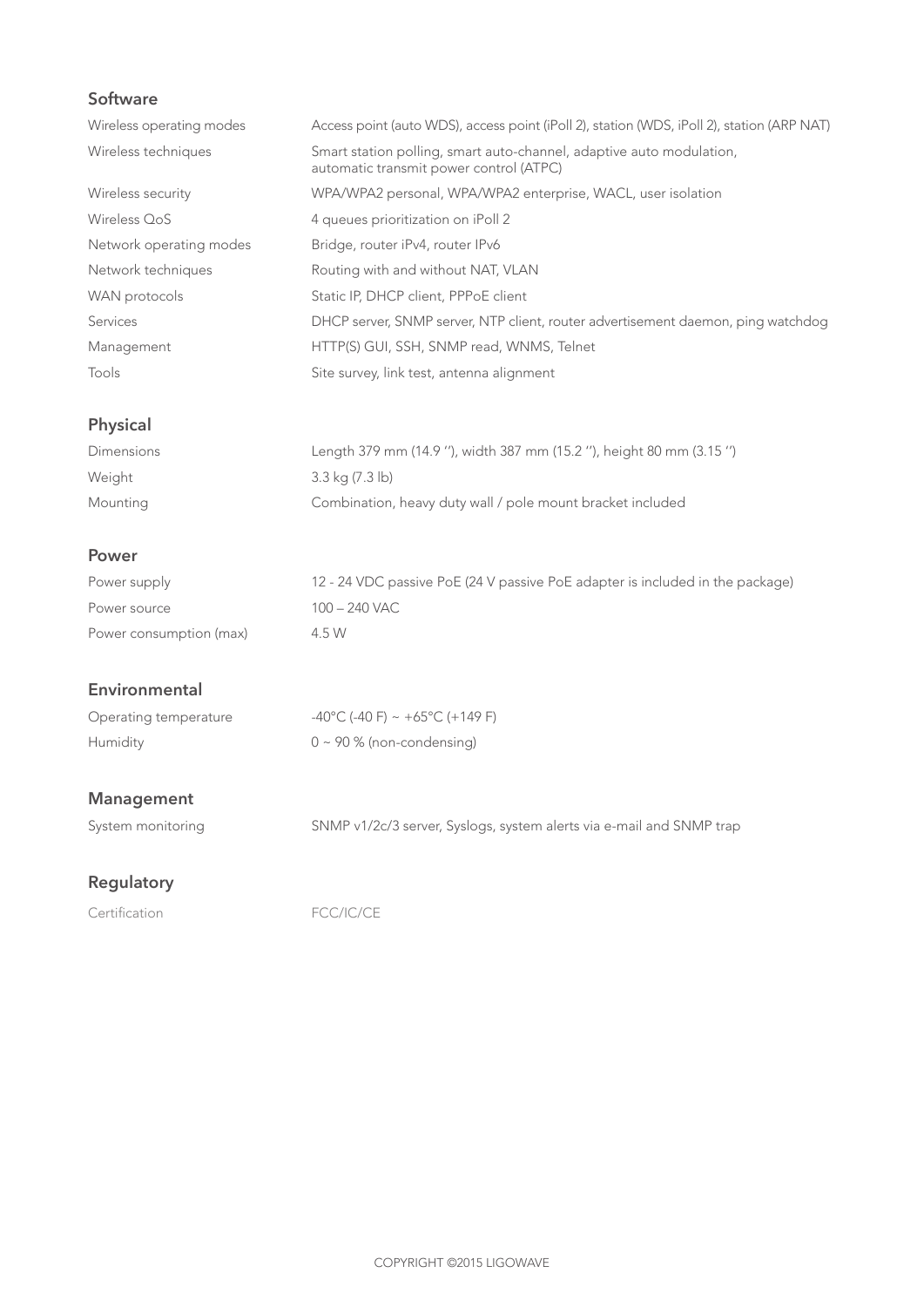## **Software**

| Wireless operating modes | Access point (auto WDS), access point (iPoll 2), station (WDS, iPoll 2), station (ARP NAT)                      |
|--------------------------|-----------------------------------------------------------------------------------------------------------------|
| Wireless techniques      | Smart station polling, smart auto-channel, adaptive auto modulation,<br>automatic transmit power control (ATPC) |
| Wireless security        | WPA/WPA2 personal, WPA/WPA2 enterprise, WACL, user isolation                                                    |
| Wireless OoS             | 4 queues prioritization on iPoll 2                                                                              |
| Network operating modes  | Bridge, router iPv4, router IPv6                                                                                |
| Network techniques       | Routing with and without NAT, VLAN                                                                              |
| WAN protocols            | Static IP, DHCP client, PPPoE client                                                                            |
| Services                 | DHCP server, SNMP server, NTP client, router advertisement daemon, ping watchdog                                |
| Management               | HTTP(S) GUI, SSH, SNMP read, WNMS, Telnet                                                                       |
| Tools                    | Site survey, link test, antenna alignment                                                                       |

## **Physical**

| Dimensions | Length 379 mm (14.9 "), width 387 mm (15.2 "), height 80 mm (3.15 ") |
|------------|----------------------------------------------------------------------|
| Weight     | 3.3 kg (7.3 lb)                                                      |
| Mounting   | Combination, heavy duty wall / pole mount bracket included           |

### **Power**

| Power supply            | 12 - 24 VDC passive PoE (24 V passive PoE adapter is included in the package) |
|-------------------------|-------------------------------------------------------------------------------|
| Power source            | 100 – 240 VAC                                                                 |
| Power consumption (max) | 4.5 W                                                                         |

## **Environmental**

| Operating temperature | $-40^{\circ}$ C (-40 F) ~ +65 $^{\circ}$ C (+149 F) |
|-----------------------|-----------------------------------------------------|
| Humidity              | $0 \sim 90$ % (non-condensing)                      |

## **Management**

System monitoring SNMP v1/2c/3 server, Syslogs, system alerts via e-mail and SNMP trap

## **Regulatory**

Certification FCC/IC/CE